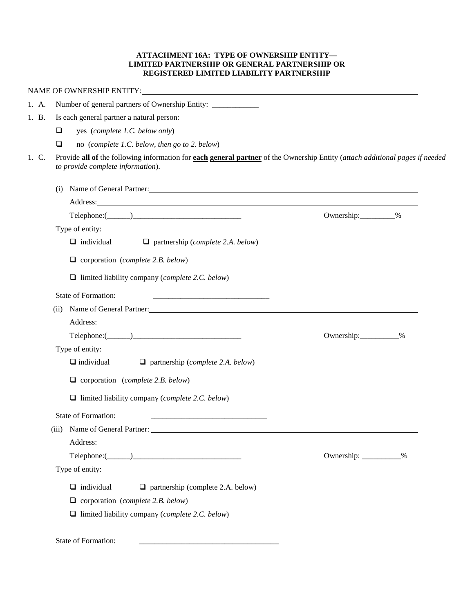## **ATTACHMENT 16A: TYPE OF OWNERSHIP ENTITY— LIMITED PARTNERSHIP OR GENERAL PARTNERSHIP OR REGISTERED LIMITED LIABILITY PARTNERSHIP**

| 1. A. | Number of general partners of Ownership Entity: ____________                                                                                                                                                                         |                        |  |  |  |  |  |
|-------|--------------------------------------------------------------------------------------------------------------------------------------------------------------------------------------------------------------------------------------|------------------------|--|--|--|--|--|
| 1. B. | Is each general partner a natural person:                                                                                                                                                                                            |                        |  |  |  |  |  |
|       | yes (complete 1.C. below only)<br>$\Box$                                                                                                                                                                                             |                        |  |  |  |  |  |
|       | $\Box$<br>no (complete 1.C. below, then go to 2. below)                                                                                                                                                                              |                        |  |  |  |  |  |
| 1. C. | Provide all of the following information for each general partner of the Ownership Entity (attach additional pages if needed<br>to provide complete information).                                                                    |                        |  |  |  |  |  |
|       | (i) Name of General Partner:                                                                                                                                                                                                         |                        |  |  |  |  |  |
|       | Address: Address: Address: Address: Address: Address: Address: Address: Address: Address: Address: Address: Address: Address: Address: Address: Address: Address: Address: Address: Address: Address: Address: Address: Addres       |                        |  |  |  |  |  |
|       |                                                                                                                                                                                                                                      | Ownership: 3%          |  |  |  |  |  |
|       | Type of entity:                                                                                                                                                                                                                      |                        |  |  |  |  |  |
|       | $\Box$ individual<br>$\Box$ partnership (complete 2.A. below)                                                                                                                                                                        |                        |  |  |  |  |  |
|       | $\Box$ corporation (complete 2.B. below)                                                                                                                                                                                             |                        |  |  |  |  |  |
|       | $\Box$ limited liability company (complete 2.C. below)                                                                                                                                                                               |                        |  |  |  |  |  |
|       | <b>State of Formation:</b>                                                                                                                                                                                                           |                        |  |  |  |  |  |
|       | Name of General Partner: 1990 and 2000 and 2000 and 2000 and 2000 and 2000 and 2000 and 2000 and 2000 and 2000 $\mu$<br>(ii)                                                                                                         |                        |  |  |  |  |  |
|       | Address: <u>The Community of the Community of the Community of the Community of the Community of the Community of the Community of the Community of the Community of the Community of the Community of the Community of the Comm</u> |                        |  |  |  |  |  |
|       |                                                                                                                                                                                                                                      | Ownership:___________% |  |  |  |  |  |
|       | Type of entity:                                                                                                                                                                                                                      |                        |  |  |  |  |  |
|       | $\Box$ individual<br>$\Box$ partnership (complete 2.A. below)                                                                                                                                                                        |                        |  |  |  |  |  |
|       | $\Box$ corporation (complete 2.B. below)                                                                                                                                                                                             |                        |  |  |  |  |  |
|       | $\Box$ limited liability company (complete 2.C. below)                                                                                                                                                                               |                        |  |  |  |  |  |
|       | <b>State of Formation:</b>                                                                                                                                                                                                           |                        |  |  |  |  |  |
|       | (iii) Name of General Partner:                                                                                                                                                                                                       |                        |  |  |  |  |  |
|       |                                                                                                                                                                                                                                      |                        |  |  |  |  |  |
|       | $\text{Telephone:} (\_\_\_\_\_\_\_\_\_\_\_\_\_\_$                                                                                                                                                                                    | Ownership: __________% |  |  |  |  |  |
|       | Type of entity:                                                                                                                                                                                                                      |                        |  |  |  |  |  |
|       | $\Box$ individual<br>$\Box$ partnership (complete 2.A. below)                                                                                                                                                                        |                        |  |  |  |  |  |
|       | $\Box$ corporation (complete 2.B. below)                                                                                                                                                                                             |                        |  |  |  |  |  |
|       | $\Box$ limited liability company (complete 2.C. below)                                                                                                                                                                               |                        |  |  |  |  |  |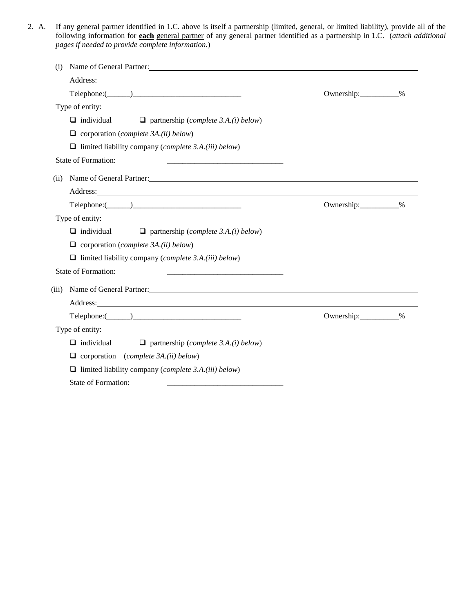2. A. If any general partner identified in 1.C. above is itself a partnership (limited, general, or limited liability), provide all of the following information for **each** general partner of any general partner identified as a partnership in 1.C. (*attach additional pages if needed to provide complete information.*)

| Name of General Partner:                                                                                                                                                                                                                |                        |  |  |  |
|-----------------------------------------------------------------------------------------------------------------------------------------------------------------------------------------------------------------------------------------|------------------------|--|--|--|
| Address: No. 1996. The Committee of the Committee of the Committee of the Committee of the Committee of the Committee of the Committee of the Committee of the Committee of the Committee of the Committee of the Committee of          |                        |  |  |  |
| $\text{Telephone:}$ $\qquad \qquad$                                                                                                                                                                                                     | Ownership: 30          |  |  |  |
| Type of entity:                                                                                                                                                                                                                         |                        |  |  |  |
| $\Box$ individual<br>$\Box$ partnership (complete 3.A.(i) below)                                                                                                                                                                        |                        |  |  |  |
| $\Box$ corporation ( <i>complete 3A.(ii) below</i> )                                                                                                                                                                                    |                        |  |  |  |
| $\Box$ limited liability company (complete 3.A.(iii) below)                                                                                                                                                                             |                        |  |  |  |
| State of Formation:                                                                                                                                                                                                                     |                        |  |  |  |
| Name of General Partner: 1988 and 2008 and 2008 and 2008 and 2008 and 2008 and 2008 and 2008 and 2008 and 2008 and 2008 and 2008 and 2008 and 2008 and 2008 and 2008 and 2008 and 2008 and 2008 and 2008 and 2008 and 2008 and<br>(ii)  |                        |  |  |  |
| Address: <u>Address:</u> Address: Address: Address: Address: Address: Address: Address: Address: Address: Address: Address: Address: Address: Address: Address: Address: Address: Address: Address: Address: Address: Address: Addr     |                        |  |  |  |
| $Telephone: ($ \[ \[ \]                                                                                                                                                                                                                 | Ownership:___________% |  |  |  |
| Type of entity:                                                                                                                                                                                                                         |                        |  |  |  |
| $\Box$ individual<br>$\Box$ partnership (complete 3.A.(i) below)                                                                                                                                                                        |                        |  |  |  |
| $\Box$ corporation ( <i>complete 3A.(ii) below</i> )                                                                                                                                                                                    |                        |  |  |  |
| $\Box$ limited liability company ( <i>complete 3.A.(iii) below</i> )                                                                                                                                                                    |                        |  |  |  |
| State of Formation:                                                                                                                                                                                                                     |                        |  |  |  |
| Name of General Partner: 1988 and 2008 and 2008 and 2008 and 2008 and 2008 and 2008 and 2008 and 2008 and 2008 and 2008 and 2008 and 2008 and 2008 and 2008 and 2008 and 2008 and 2008 and 2008 and 2008 and 2008 and 2008 and<br>(iii) |                        |  |  |  |
| Address: 2008 and 2008 and 2008 and 2008 and 2008 and 2008 and 2008 and 2008 and 2008 and 2008 and 2008 and 20                                                                                                                          |                        |  |  |  |
|                                                                                                                                                                                                                                         | Ownership:___________% |  |  |  |
| Type of entity:                                                                                                                                                                                                                         |                        |  |  |  |
| $\Box$ individual<br>$\Box$ partnership ( <i>complete 3.A.(i) below</i> )                                                                                                                                                               |                        |  |  |  |
| $\Box$ corporation (complete 3A.(ii) below)                                                                                                                                                                                             |                        |  |  |  |
| $\Box$ limited liability company ( <i>complete 3.A.(iii) below</i> )                                                                                                                                                                    |                        |  |  |  |
| State of Formation:                                                                                                                                                                                                                     |                        |  |  |  |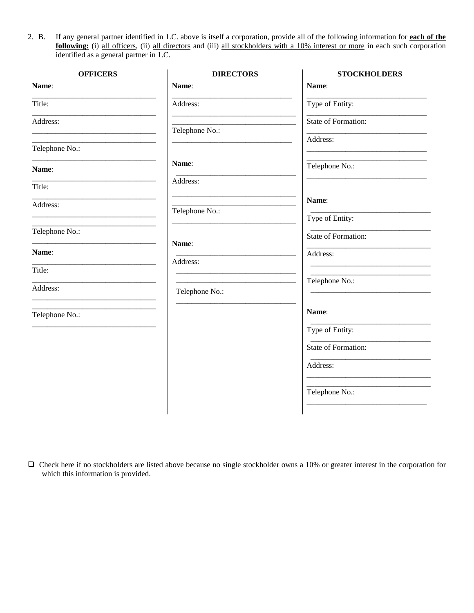2. B. If any general partner identified in 1.C. above is itself a corporation, provide all of the following information for **each of the following:** (i) all officers, (ii) all directors and (iii) all stockholders with a 10% interest or more in each such corporation identified as a general partner in 1.C.

| <b>OFFICERS</b> | <b>DIRECTORS</b> | <b>STOCKHOLDERS</b> |
|-----------------|------------------|---------------------|
| Name:           | Name:            | Name:               |
| Title:          | Address:         | Type of Entity:     |
| Address:        | Telephone No.:   | State of Formation: |
| Telephone No.:  |                  | Address:            |
| Name:           | Name:            | Telephone No.:      |
| Title:          | Address:         |                     |
| Address:        | Telephone No.:   | Name:               |
|                 |                  | Type of Entity:     |
| Telephone No.:  | Name:            | State of Formation: |
| Name:           |                  | Address:            |
| Title:          | Address:         |                     |
| Address:        | Telephone No.:   | Telephone No.:      |
| Telephone No.:  |                  | Name:               |
|                 |                  | Type of Entity:     |
|                 |                  | State of Formation: |
|                 |                  | Address:            |
|                 |                  | Telephone No.:      |
|                 |                  |                     |

 $\Box$  Check here if no stockholders are listed above because no single stockholder owns a 10% or greater interest in the corporation for which this information is provided.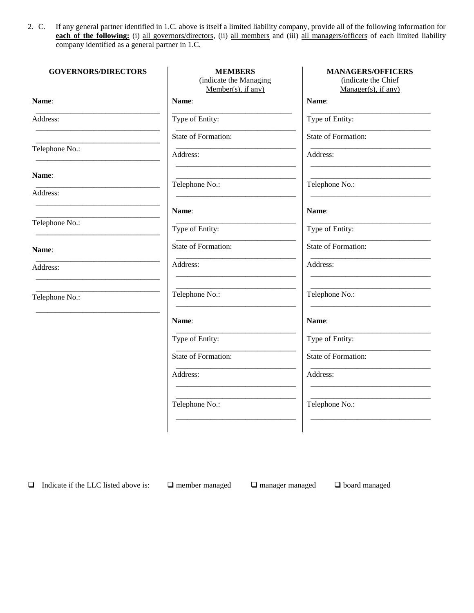2. C. If any general partner identified in 1.C. above is itself a limited liability company, provide all of the following information for each of the following: (i) all governors/directors, (ii) all members and (iii) all managers/officers of each limited liability company identified as a general partner in 1.C.

| <b>GOVERNORS/DIRECTORS</b> | <b>MEMBERS</b><br>(indicate the Managing<br>$Member(s)$ , if any) | <b>MANAGERS/OFFICERS</b><br>(indicate the Chief<br>$Manager(s)$ , if any) |
|----------------------------|-------------------------------------------------------------------|---------------------------------------------------------------------------|
| Name:                      | Name:                                                             | Name:                                                                     |
| Address:                   | Type of Entity:                                                   | Type of Entity:                                                           |
|                            | State of Formation:                                               | State of Formation:                                                       |
| Telephone No.:             | Address:                                                          | Address:                                                                  |
| Name:                      |                                                                   |                                                                           |
| Address:                   | Telephone No.:                                                    | Telephone No.:                                                            |
|                            | Name:                                                             | Name:                                                                     |
| Telephone No.:             | Type of Entity:                                                   | Type of Entity:                                                           |
| Name:                      | State of Formation:                                               | State of Formation:                                                       |
| Address:                   | Address:                                                          | Address:                                                                  |
| Telephone No.:             | Telephone No.:                                                    | Telephone No.:                                                            |
|                            | Name:                                                             | Name:                                                                     |
|                            | Type of Entity:                                                   | Type of Entity:                                                           |
|                            | State of Formation:                                               | <b>State of Formation:</b>                                                |
|                            | Address:                                                          | Address:                                                                  |
|                            | Telephone No.:                                                    | Telephone No.:                                                            |
|                            |                                                                   |                                                                           |

 $\Box$  Indicate if the LLC listed above is:  $\Box$  member managed  $\Box$  manager managed  $\Box$  board managed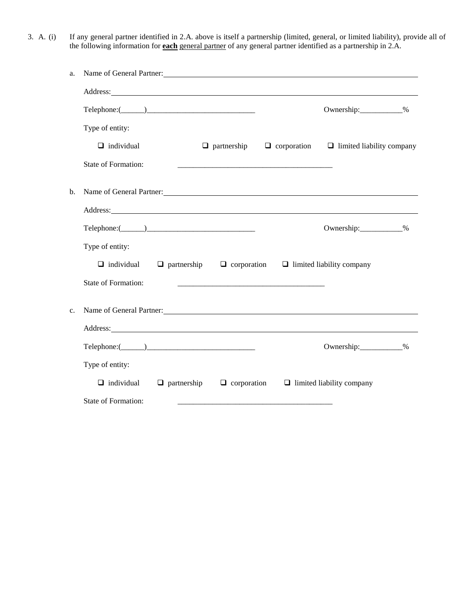3. A. (i) If any general partner identified in 2.A. above is itself a partnership (limited, general, or limited liability), provide all of the following information for **each** general partner of any general partner identified as a partnership in 2.A.

| a.             | Name of General Partner:                                                                                                                                                                                                       |                                                                        |                                                                        |  |
|----------------|--------------------------------------------------------------------------------------------------------------------------------------------------------------------------------------------------------------------------------|------------------------------------------------------------------------|------------------------------------------------------------------------|--|
|                | Address: No. 1996. The Contract of the Contract of the Contract of the Contract of the Contract of the Contract of the Contract of the Contract of the Contract of the Contract of the Contract of the Contract of the Contrac |                                                                        |                                                                        |  |
|                | $\text{Telephone:} (\_\_\_\_\_\_\_\_\_\_\_\_$                                                                                                                                                                                  |                                                                        | Ownership:____________%                                                |  |
|                | Type of entity:                                                                                                                                                                                                                |                                                                        |                                                                        |  |
|                | $\Box$ individual                                                                                                                                                                                                              |                                                                        | $\Box$ partnership $\Box$ corporation $\Box$ limited liability company |  |
|                | State of Formation:                                                                                                                                                                                                            |                                                                        |                                                                        |  |
| $\mathbf{b}$ . | Name of General Partner:                                                                                                                                                                                                       |                                                                        |                                                                        |  |
|                | Address: No. 2016. The Committee of the Committee of the Committee of the Committee of the Committee of the Committee of the Committee of the Committee of the Committee of the Committee of the Committee of the Committee of |                                                                        |                                                                        |  |
|                | $\text{Telephone:} (\_\_)$                                                                                                                                                                                                     |                                                                        | Ownership: 3%                                                          |  |
|                | Type of entity:                                                                                                                                                                                                                |                                                                        |                                                                        |  |
|                | $\Box$ individual                                                                                                                                                                                                              | $\Box$ partnership $\Box$ corporation $\Box$ limited liability company |                                                                        |  |
|                | State of Formation:                                                                                                                                                                                                            |                                                                        |                                                                        |  |
| $\mathbf{c}$ . | Name of General Partner:                                                                                                                                                                                                       |                                                                        |                                                                        |  |
|                |                                                                                                                                                                                                                                |                                                                        |                                                                        |  |
|                |                                                                                                                                                                                                                                |                                                                        | Ownership:____________%                                                |  |
|                | Type of entity:                                                                                                                                                                                                                |                                                                        |                                                                        |  |
|                | $\Box$ individual                                                                                                                                                                                                              | $\Box$ partnership $\Box$ corporation $\Box$ limited liability company |                                                                        |  |
|                | State of Formation:                                                                                                                                                                                                            |                                                                        |                                                                        |  |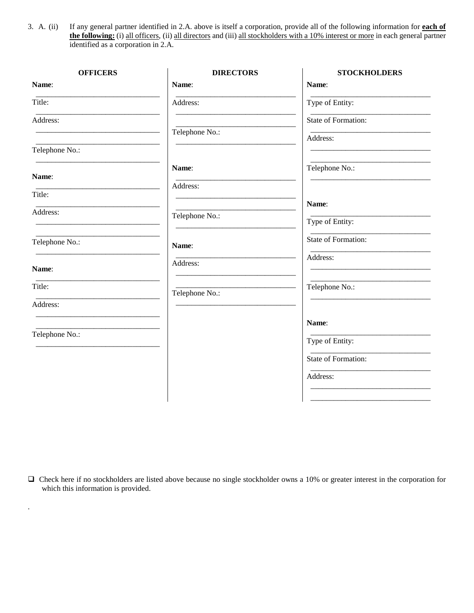3. A. (ii) If any general partner identified in 2.A. above is itself a corporation, provide all of the following information for **each of the following:** (i) all officers, (ii) all directors and (iii) all stockholders with a 10% interest or more in each general partner identified as a corporation in 2.A.

| <b>OFFICERS</b> | <b>DIRECTORS</b> | <b>STOCKHOLDERS</b> |
|-----------------|------------------|---------------------|
| Name:           | Name:            | Name:               |
| Title:          | Address:         | Type of Entity:     |
| Address:        |                  | State of Formation: |
|                 | Telephone No.:   | Address:            |
| Telephone No.:  |                  |                     |
| Name:           | Name:            | Telephone No.:      |
| Title:          | Address:         |                     |
| Address:        |                  | Name:               |
|                 | Telephone No.:   | Type of Entity:     |
| Telephone No.:  | Name:            | State of Formation: |
| Name:           | Address:         | Address:            |
| Title:          | Telephone No.:   | Telephone No.:      |
| Address:        |                  |                     |
|                 |                  | Name:               |
| Telephone No.:  |                  | Type of Entity:     |
|                 |                  | State of Formation: |
|                 |                  | Address:            |
|                 |                  |                     |

 Check here if no stockholders are listed above because no single stockholder owns a 10% or greater interest in the corporation for which this information is provided.

.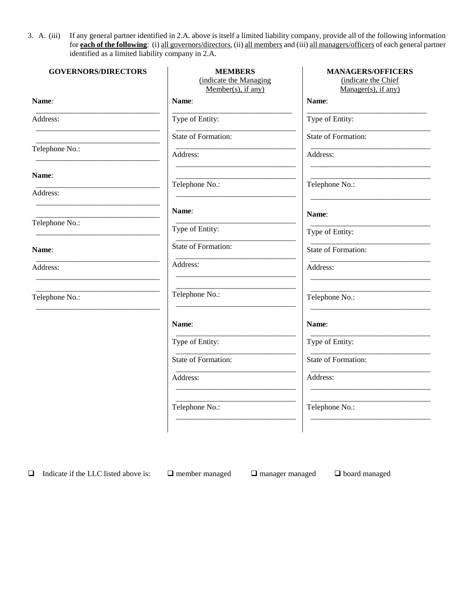3. A. (iii) If any general partner identified in 2.A. above is itself a limited liability company, provide all of the following information for **each of the following**: (i) all governors/directors, (ii) all members and (iii) all managers/officers of each general partner identified as a limited liability company in 2.A.

| <b>GOVERNORS/DIRECTORS</b> | <b>MEMBERS</b><br>(indicate the Managing<br>Member(s), if any) | <b>MANAGERS/OFFICERS</b><br>(indicate the Chief<br>$Manager(s)$ , if any) |
|----------------------------|----------------------------------------------------------------|---------------------------------------------------------------------------|
| Name:                      | Name:                                                          | Name:                                                                     |
| Address:                   | Type of Entity:                                                | Type of Entity:                                                           |
|                            | <b>State of Formation:</b>                                     | <b>State of Formation:</b>                                                |
| Telephone No.:             | Address:                                                       | Address:                                                                  |
| Name:                      |                                                                |                                                                           |
| Address:                   | Telephone No.:                                                 | Telephone No.:                                                            |
|                            | Name:                                                          | Name:                                                                     |
| Telephone No.:             | Type of Entity:                                                | Type of Entity:                                                           |
| Name:                      | State of Formation:                                            | State of Formation:                                                       |
| Address:                   | Address:                                                       | Address:                                                                  |
| Telephone No.:             | Telephone No.:                                                 | Telephone No.:                                                            |
|                            | Name:                                                          | Name:                                                                     |
|                            | Type of Entity:                                                | Type of Entity:                                                           |
|                            | State of Formation:                                            | State of Formation:                                                       |
|                            | Address:                                                       | Address:                                                                  |
|                            | Telephone No.:                                                 | Telephone No.:                                                            |
|                            |                                                                |                                                                           |

 $\Box$  Indicate if the LLC listed above is:  $\Box$  member managed  $\Box$  manager managed  $\Box$  board managed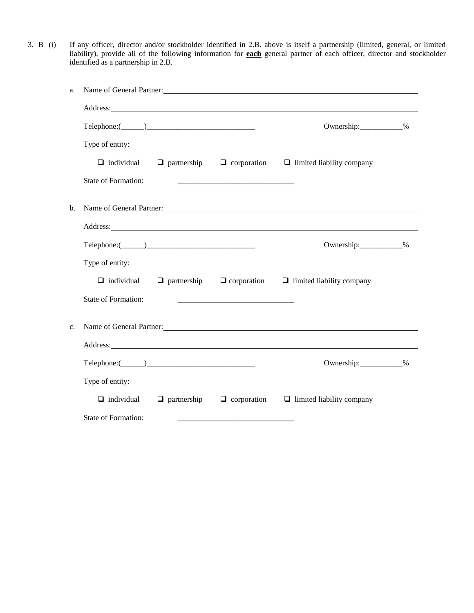3. B (i) If any officer, director and/or stockholder identified in 2.B. above is itself a partnership (limited, general, or limited liability), provide all of the following information for **each** general partner of each officer, director and stockholder identified as a partnership in 2.B.

| a.          |                                                                                                                                                                                                                                                                              |                    |                                                                                                                       | Name of General Partner:                                                                                                                                                                                                       |  |
|-------------|------------------------------------------------------------------------------------------------------------------------------------------------------------------------------------------------------------------------------------------------------------------------------|--------------------|-----------------------------------------------------------------------------------------------------------------------|--------------------------------------------------------------------------------------------------------------------------------------------------------------------------------------------------------------------------------|--|
|             | Address: <u>Address</u> and the contract of the contract of the contract of the contract of the contract of the contract of the contract of the contract of the contract of the contract of the contract of the contract of the con                                          |                    |                                                                                                                       |                                                                                                                                                                                                                                |  |
|             | $Telephone: (\_\_)$                                                                                                                                                                                                                                                          |                    |                                                                                                                       | Ownership:____________%                                                                                                                                                                                                        |  |
|             | Type of entity:                                                                                                                                                                                                                                                              |                    |                                                                                                                       |                                                                                                                                                                                                                                |  |
|             |                                                                                                                                                                                                                                                                              |                    |                                                                                                                       | $\Box$ individual $\Box$ partnership $\Box$ corporation $\Box$ limited liability company                                                                                                                                       |  |
|             | State of Formation:                                                                                                                                                                                                                                                          |                    | <u> 1999 - Johann Harry Harry Harry Harry Harry Harry Harry Harry Harry Harry Harry Harry Harry Harry Harry Harry</u> |                                                                                                                                                                                                                                |  |
| b.          |                                                                                                                                                                                                                                                                              |                    |                                                                                                                       | Name of General Partner: Name of General Partners and the state of the state of the state of the state of the state of the state of the state of the state of the state of the state of the state of the state of the state of |  |
|             | Address: <u>Address:</u> Address: <b>Address:</b> Address: <b>Address:</b> Address: <b>Address:</b> Address: <b>Address:</b> Address: <b>Address:</b> Address: <b>Address:</b> Address: <b>Address:</b> Address: <b>Address: Address: Address: Address: Address: Address</b> |                    |                                                                                                                       |                                                                                                                                                                                                                                |  |
|             | $\text{Telephone:} (\_\_\_\_\_\_\_\_\_\_\_\_\_$                                                                                                                                                                                                                              |                    |                                                                                                                       | Ownership:____________%                                                                                                                                                                                                        |  |
|             | Type of entity:                                                                                                                                                                                                                                                              |                    |                                                                                                                       |                                                                                                                                                                                                                                |  |
|             |                                                                                                                                                                                                                                                                              |                    |                                                                                                                       | $\Box$ individual $\Box$ partnership $\Box$ corporation $\Box$ limited liability company                                                                                                                                       |  |
|             | State of Formation:                                                                                                                                                                                                                                                          |                    | <u> 1999 - Johann Harry Harry Harry Harry Harry Harry Harry Harry Harry Harry Harry Harry Harry Harry Harry Harry</u> |                                                                                                                                                                                                                                |  |
| $C_{\star}$ |                                                                                                                                                                                                                                                                              |                    |                                                                                                                       | Name of General Partner: Name of General Partner:                                                                                                                                                                              |  |
|             |                                                                                                                                                                                                                                                                              |                    |                                                                                                                       |                                                                                                                                                                                                                                |  |
|             |                                                                                                                                                                                                                                                                              |                    |                                                                                                                       | Ownership:____________%                                                                                                                                                                                                        |  |
|             | Type of entity:                                                                                                                                                                                                                                                              |                    |                                                                                                                       |                                                                                                                                                                                                                                |  |
|             | $\Box$ individual                                                                                                                                                                                                                                                            | $\Box$ partnership | $\Box$ corporation                                                                                                    | $\Box$ limited liability company                                                                                                                                                                                               |  |
|             | <b>State of Formation:</b>                                                                                                                                                                                                                                                   |                    |                                                                                                                       |                                                                                                                                                                                                                                |  |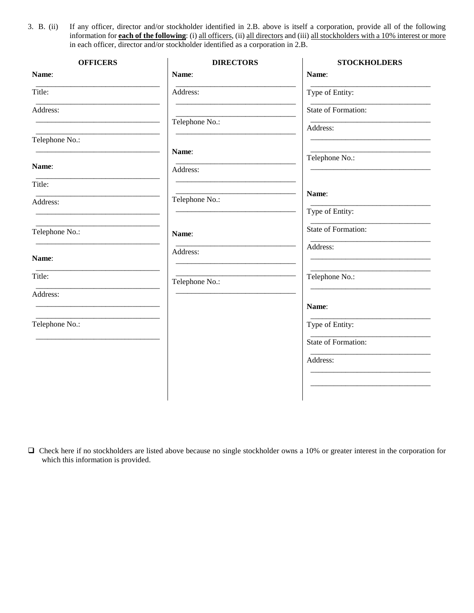3. B. (ii) If any officer, director and/or stockholder identified in 2.B. above is itself a corporation, provide all of the following information for **each of the following**: (i) all officers, (ii) all directors and (iii) all stockholders with a 10% interest or more in each officer, director and/or stockholder identified as a corporation in 2.B.

| <b>OFFICERS</b> | <b>DIRECTORS</b> | <b>STOCKHOLDERS</b> |
|-----------------|------------------|---------------------|
| Name:           | Name:            | Name:               |
| Title:          | Address:         | Type of Entity:     |
| Address:        |                  | State of Formation: |
|                 | Telephone No.:   | Address:            |
| Telephone No.:  |                  |                     |
|                 | Name:            | Telephone No.:      |
| Name:           | Address:         |                     |
| Title:          |                  | Name:               |
| Address:        | Telephone No.:   | Type of Entity:     |
|                 |                  |                     |
| Telephone No.:  | Name:            | State of Formation: |
| Name:           | Address:         | Address:            |
| Title:          | Telephone No.:   | Telephone No.:      |
| Address:        |                  |                     |
|                 |                  | Name:               |
| Telephone No.:  |                  | Type of Entity:     |
|                 |                  | State of Formation: |
|                 |                  | Address:            |
|                 |                  |                     |
|                 |                  |                     |
|                 |                  |                     |

 Check here if no stockholders are listed above because no single stockholder owns a 10% or greater interest in the corporation for which this information is provided.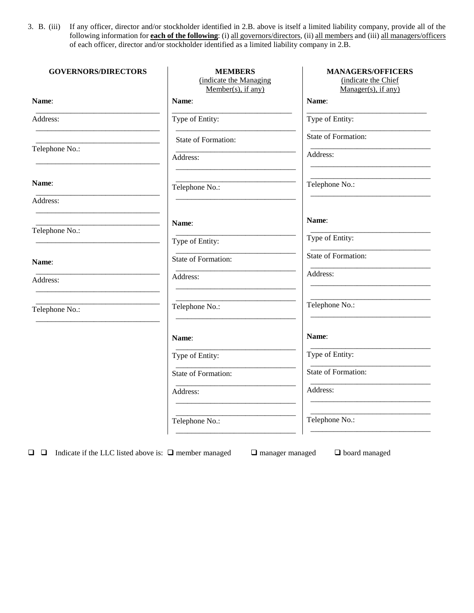3. B. (iii) If any officer, director and/or stockholder identified in 2.B. above is itself a limited liability company, provide all of the following information for **each of the following**: (i) all governors/directors, (ii) all members and (iii) all managers/officers of each officer, director and/or stockholder identified as a limited liability company in 2.B.

| <b>GOVERNORS/DIRECTORS</b> | <b>MEMBERS</b><br>(indicate the Managing<br>Member(s), if any) | <b>MANAGERS/OFFICERS</b><br>(indicate the Chief<br>Manager(s), if any) |
|----------------------------|----------------------------------------------------------------|------------------------------------------------------------------------|
| Name:                      | Name:                                                          | Name:                                                                  |
| Address:                   | Type of Entity:                                                | Type of Entity:                                                        |
|                            | State of Formation:                                            | State of Formation:                                                    |
| Telephone No.:             | Address:                                                       | Address:                                                               |
| Name:                      | Telephone No.:                                                 | Telephone No.:                                                         |
| Address:                   |                                                                |                                                                        |
| Telephone No.:             | Name:                                                          | Name:                                                                  |
|                            | Type of Entity:                                                | Type of Entity:                                                        |
| Name:                      | State of Formation:                                            | State of Formation:                                                    |
| Address:                   | Address:                                                       | Address:                                                               |
| Telephone No.:             | Telephone No.:                                                 | Telephone No.:                                                         |
|                            | Name:                                                          | Name:                                                                  |
|                            | Type of Entity:                                                | Type of Entity:                                                        |
|                            | State of Formation:                                            | State of Formation:                                                    |
|                            | Address:                                                       | Address:                                                               |
|                            | Telephone No.:                                                 | Telephone No.:                                                         |

 $\Box$   $\Box$  Indicate if the LLC listed above is:  $\Box$  member managed  $\Box$  manager managed  $\Box$  board managed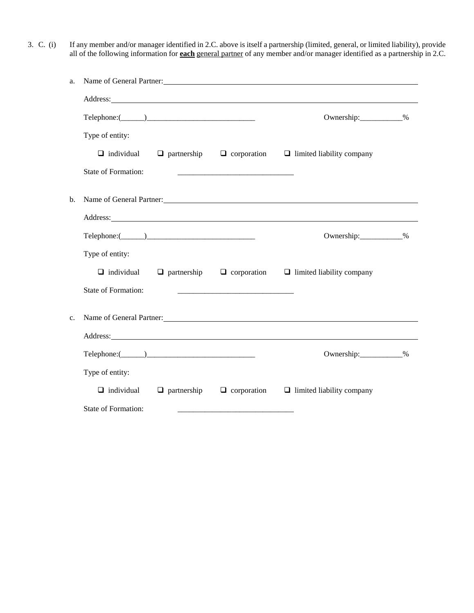3. C. (i) If any member and/or manager identified in 2.C. above is itself a partnership (limited, general, or limited liability), provide all of the following information for **each** general partner of any member and/or manager identified as a partnership in 2.C.

| a. | Name of General Partner:                                                                                                                                                                                                             |  |                                                                                                                      |                                                                                          |  |
|----|--------------------------------------------------------------------------------------------------------------------------------------------------------------------------------------------------------------------------------------|--|----------------------------------------------------------------------------------------------------------------------|------------------------------------------------------------------------------------------|--|
|    | Address: <u>Address</u> : Address: Address: Address: Address: Address: Address: Address: Address: Address: Address: Address: Address: Address: Address: Address: Address: Address: Address: Address: Address: Address: Address: Addr |  |                                                                                                                      |                                                                                          |  |
|    | $\text{Telephone:} (\_\_\_\_\_\_\_\_\_\_\_\_\_$                                                                                                                                                                                      |  |                                                                                                                      | Ownership:____________%                                                                  |  |
|    | Type of entity:                                                                                                                                                                                                                      |  |                                                                                                                      |                                                                                          |  |
|    |                                                                                                                                                                                                                                      |  |                                                                                                                      | $\Box$ individual $\Box$ partnership $\Box$ corporation $\Box$ limited liability company |  |
|    | State of Formation:                                                                                                                                                                                                                  |  | <u> 2000 - Jan James James Jan James James James James James James James James James James James James James Jam</u> |                                                                                          |  |
| b. |                                                                                                                                                                                                                                      |  |                                                                                                                      | Name of General Partner: Name of General Partner:                                        |  |
|    | Address: National Address: National Address: National Address: National Address: National Address: National Address: National Address: National Address: National Address: National Address: National Address: National Addres       |  |                                                                                                                      |                                                                                          |  |
|    | $\text{Telephone:} (\_\_\_\_\_\_\_\_\_\_\_\_\_\_\_$                                                                                                                                                                                  |  |                                                                                                                      | Ownership:____________%                                                                  |  |
|    | Type of entity:                                                                                                                                                                                                                      |  |                                                                                                                      |                                                                                          |  |
|    |                                                                                                                                                                                                                                      |  |                                                                                                                      | $\Box$ individual $\Box$ partnership $\Box$ corporation $\Box$ limited liability company |  |
|    | <b>State of Formation:</b>                                                                                                                                                                                                           |  |                                                                                                                      |                                                                                          |  |
| c. |                                                                                                                                                                                                                                      |  |                                                                                                                      | Name of General Partner: Name of General Partner:                                        |  |
|    |                                                                                                                                                                                                                                      |  |                                                                                                                      | Address:                                                                                 |  |
|    | $\text{Telephone:} (\_\_)$                                                                                                                                                                                                           |  |                                                                                                                      | Ownership: 30                                                                            |  |
|    | Type of entity:                                                                                                                                                                                                                      |  |                                                                                                                      |                                                                                          |  |
|    |                                                                                                                                                                                                                                      |  |                                                                                                                      | $\Box$ individual $\Box$ partnership $\Box$ corporation $\Box$ limited liability company |  |
|    | State of Formation:                                                                                                                                                                                                                  |  |                                                                                                                      |                                                                                          |  |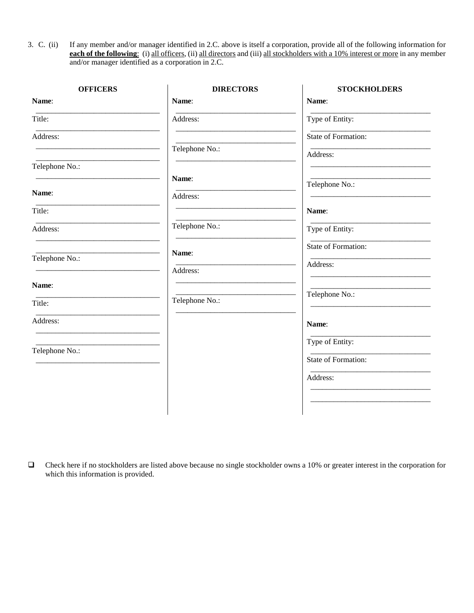3. C. (ii) If any member and/or manager identified in 2.C. above is itself a corporation, provide all of the following information for **each of the following**: (i) all officers, (ii) all directors and (iii) all stockholders with a 10% interest or more in any member and/or manager identified as a corporation in 2.C.

| <b>OFFICERS</b> | <b>DIRECTORS</b> | <b>STOCKHOLDERS</b> |
|-----------------|------------------|---------------------|
| Name:           | Name:            | Name:               |
| Title:          | Address:         | Type of Entity:     |
| Address:        |                  | State of Formation: |
|                 | Telephone No.:   | Address:            |
| Telephone No.:  |                  |                     |
|                 | Name:            | Telephone No.:      |
| Name:           | Address:         |                     |
| Title:          |                  | Name:               |
| Address:        | Telephone No.:   | Type of Entity:     |
|                 | Name:            | State of Formation: |
| Telephone No.:  | Address:         | Address:            |
| Name:           |                  |                     |
| Title:          | Telephone No.:   | Telephone No.:      |
|                 |                  |                     |
| Address:        |                  | Name:               |
| Telephone No.:  |                  | Type of Entity:     |
|                 |                  | State of Formation: |
|                 |                  | Address:            |
|                 |                  |                     |
|                 |                  |                     |

 $\Box$  Check here if no stockholders are listed above because no single stockholder owns a 10% or greater interest in the corporation for which this information is provided.